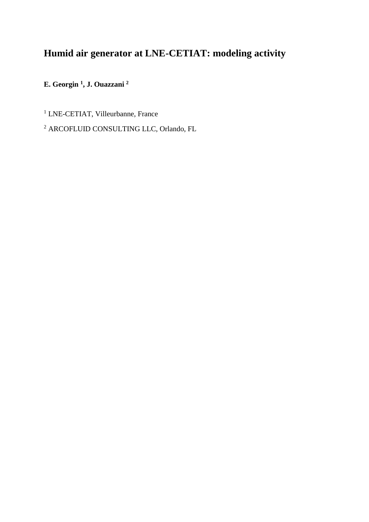# **Humid air generator at LNE-CETIAT: modeling activity**

**E. Georgin <sup>1</sup> , J. Ouazzani <sup>2</sup>**

<sup>1</sup> LNE-CETIAT, Villeurbanne, France

<sup>2</sup> ARCOFLUID CONSULTING LLC, Orlando, FL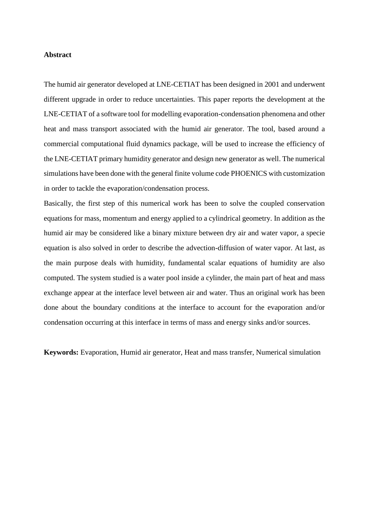#### **Abstract**

The humid air generator developed at LNE-CETIAT has been designed in 2001 and underwent different upgrade in order to reduce uncertainties. This paper reports the development at the LNE-CETIAT of a software tool for modelling evaporation-condensation phenomena and other heat and mass transport associated with the humid air generator. The tool, based around a commercial computational fluid dynamics package, will be used to increase the efficiency of the LNE-CETIAT primary humidity generator and design new generator as well. The numerical simulations have been done with the general finite volume code PHOENICS with customization in order to tackle the evaporation/condensation process.

Basically, the first step of this numerical work has been to solve the coupled conservation equations for mass, momentum and energy applied to a cylindrical geometry. In addition as the humid air may be considered like a binary mixture between dry air and water vapor, a specie equation is also solved in order to describe the advection-diffusion of water vapor. At last, as the main purpose deals with humidity, fundamental scalar equations of humidity are also computed. The system studied is a water pool inside a cylinder, the main part of heat and mass exchange appear at the interface level between air and water. Thus an original work has been done about the boundary conditions at the interface to account for the evaporation and/or condensation occurring at this interface in terms of mass and energy sinks and/or sources.

**Keywords:** Evaporation, Humid air generator, Heat and mass transfer, Numerical simulation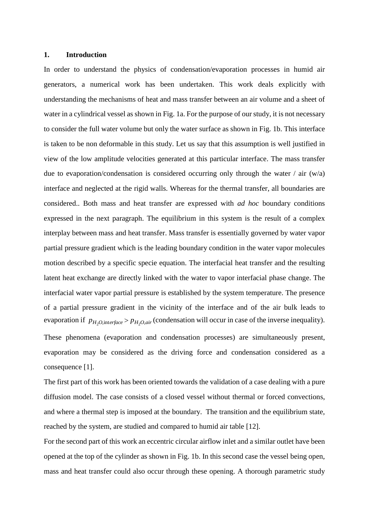#### **1. Introduction**

In order to understand the physics of condensation/evaporation processes in humid air generators, a numerical work has been undertaken. This work deals explicitly with understanding the mechanisms of heat and mass transfer between an air volume and a sheet of water in a cylindrical vessel as shown in Fig. 1a. For the purpose of our study, it is not necessary to consider the full water volume but only the water surface as shown in Fig. 1b. This interface is taken to be non deformable in this study. Let us say that this assumption is well justified in view of the low amplitude velocities generated at this particular interface. The mass transfer due to evaporation/condensation is considered occurring only through the water / air  $(w/a)$ interface and neglected at the rigid walls. Whereas for the thermal transfer, all boundaries are considered.. Both mass and heat transfer are expressed with *ad hoc* boundary conditions expressed in the next paragraph. The equilibrium in this system is the result of a complex interplay between mass and heat transfer. Mass transfer is essentially governed by water vapor partial pressure gradient which is the leading boundary condition in the water vapor molecules motion described by a specific specie equation. The interfacial heat transfer and the resulting latent heat exchange are directly linked with the water to vapor interfacial phase change. The interfacial water vapor partial pressure is established by the system temperature. The presence of a partial pressure gradient in the vicinity of the interface and of the air bulk leads to evaporation if  $p_{H_2O,\text{interface}} > p_{H_2O,\text{air}}$  (condensation will occur in case of the inverse inequality).

These phenomena (evaporation and condensation processes) are simultaneously present, evaporation may be considered as the driving force and condensation considered as a consequence [1].

The first part of this work has been oriented towards the validation of a case dealing with a pure diffusion model. The case consists of a closed vessel without thermal or forced convections, and where a thermal step is imposed at the boundary. The transition and the equilibrium state, reached by the system, are studied and compared to humid air table [12].

For the second part of this work an eccentric circular airflow inlet and a similar outlet have been opened at the top of the cylinder as shown in Fig. 1b. In this second case the vessel being open, mass and heat transfer could also occur through these opening. A thorough parametric study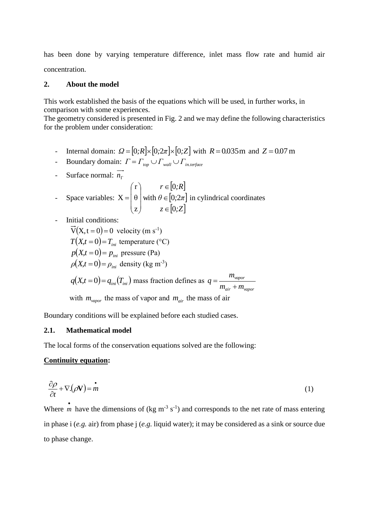has been done by varying temperature difference, inlet mass flow rate and humid air concentration.

## **2. About the model**

This work established the basis of the equations which will be used, in further works, in comparison with some experiences.

The geometry considered is presented in Fig. 2 and we may define the following characteristics for the problem under consideration:

- Internal domain:  $\Omega = [0; R] \times [0; 2\pi] \times [0; Z]$  with  $R = 0.035$ m and  $Z = 0.07$ m
- **-** Boundary domain:  $\Gamma = \Gamma_{top} \cup \Gamma_{wall} \cup \Gamma_{in.terface}$
- Surface normal: *n*

$$
\text{Space variables: } \mathbf{X} = \begin{pmatrix} r \\ \theta \\ z \end{pmatrix} \text{ with } \theta \in [0; 2\pi] \text{ in cylindrical coordinates} \\ z \in [0; Z] \end{pmatrix}
$$

- Initial conditions:

$$
\vec{V}(X, t = 0) = 0
$$
 velocity (m s<sup>-1</sup>)  
\n
$$
T(X,t = 0) = T_{ini}
$$
 temperature (°C)  
\n
$$
p(X,t = 0) = p_{ini}
$$
 pressure (Pa)  
\n
$$
\rho(X,t = 0) = \rho_{ini}
$$
 density (kg m<sup>-3</sup>)  
\n
$$
q(X,t = 0) = q_{ini}(T_{ini})
$$
 mass fraction defines as  $q = \frac{m_{vapor}}{m_{air} + m_{vapor}}$   
\nwith  $m_{vapor}$  the mass of vapor and  $m_{air}$  the mass of air

Boundary conditions will be explained before each studied cases.

# **2.1. Mathematical model**

The local forms of the conservation equations solved are the following:

## **Continuity equation:**

$$
\frac{\partial \rho}{\partial t} + \nabla \left( \rho \mathbf{V} \right) = \mathbf{m} \tag{1}
$$

Where  $\overrightarrow{n}$ *m* have the dimensions of (kg m<sup>-3</sup> s<sup>-1</sup>) and corresponds to the net rate of mass entering in phase i (*e.g.* air) from phase j (*e.g.* liquid water); it may be considered as a sink or source due to phase change.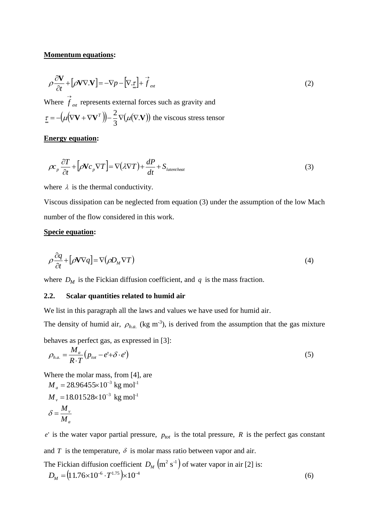### **Momentum equations:**

$$
\rho \frac{\partial \mathbf{V}}{\partial t} + [\rho \mathbf{V} \nabla \cdot \mathbf{V}] = -\nabla p - [\nabla \cdot \underline{\underline{\mathbf{r}}} + \overrightarrow{f}_{ext} \tag{2}
$$

Where  $\overrightarrow{f}_{ext}$  represents external forces such as gravity and  $(\mu(\nabla \mathbf{V} + \nabla \mathbf{V}^T)) - \frac{2}{3}\nabla(\mu(\nabla \mathbf{V}))$ 3  $\tau = -(\mu(\nabla \mathbf{V} + \nabla \mathbf{V}^T)) - \frac{2}{3}\nabla(\mu(\nabla \cdot \mathbf{V}))$  the viscous stress tensor

# **Energy equation:**

$$
\rho c_p \frac{\partial T}{\partial t} + \left[ \rho \mathbf{V} c_p \nabla T \right] = \nabla (\lambda \nabla T) + \frac{dP}{dt} + S_{\text{latent heat}} \tag{3}
$$

where  $\lambda$  is the thermal conductivity.

Viscous dissipation can be neglected from equation (3) under the assumption of the low Mach number of the flow considered in this work.

# **Specie equation:**

$$
\rho \frac{\partial q}{\partial t} + [\rho \mathbf{V} \nabla q] = \nabla (\rho D_M \nabla T) \tag{4}
$$

where  $D_M$  is the Fickian diffusion coefficient, and q is the mass fraction.

# **2.2. Scalar quantities related to humid air**

We list in this paragraph all the laws and values we have used for humid air.

The density of humid air,  $\rho_{h.a.}$  (kg m<sup>-3</sup>), is derived from the assumption that the gas mixture

behaves as perfect gas, as expressed in [3]:

$$
\rho_{h.a.} = \frac{M_a}{R \cdot T} \left( p_{\text{tot}} - e^{\cdot} + \delta \cdot e^{\cdot} \right) \tag{5}
$$

Where the molar mass, from [4], are

$$
M_a = 28.96455 \times 10^{-3} \text{ kg mol}^{-1}
$$
  

$$
M_v = 18.01528 \times 10^{-3} \text{ kg mol}^{-1}
$$
  

$$
\delta = \frac{M_v}{M_a}
$$

 $e'$  is the water vapor partial pressure,  $p_{tot}$  is the total pressure,  $R$  is the perfect gas constant and  $T$  is the temperature,  $\delta$  is molar mass ratio between vapor and air. The Fickian diffusion coefficient  $D_M$   $(m^2 s^{-1})$  of water vapor in air [2] is:  $D_M = (11.76 \times 10^{-6} \cdot T^{1.75}) \times 10^{-4}$ (6)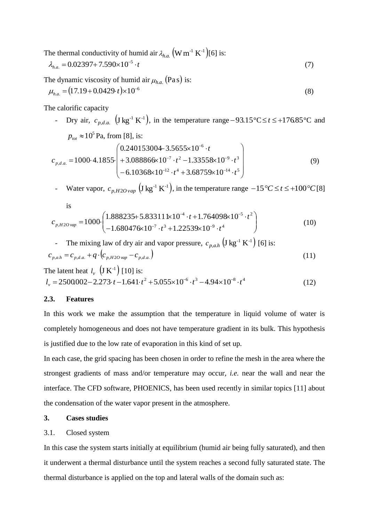The thermal conductivity of humid air  $\lambda_{h.a.}$   $(W m^{-1} K^{-1})$ [6] is:

$$
\lambda_{h.a.} = 0.02397 + 7.590 \times 10^{-5} \cdot t \tag{7}
$$

The dynamic viscosity of humid air  $\mu_{h.a.}$  (Pas) is:

$$
\mu_{h.a.} = (17.19 + 0.0429 \cdot t) \times 10^{-6} \tag{8}
$$

The calorific capacity

- Dry air,  $c_{p,d,a}$   $(\text{J kg}^{-1} \text{ K}^{-1})$ , in the temperature range -93.15°C  $\le t \le +176.85$ °C and  $p_{<sub>tot</sub>} \approx 10^5$  Pa, from [8], is:  $\overline{\phantom{a}}$  $\overline{\phantom{a}}$  $\overline{\phantom{a}}$  $\bigg)$  $\setminus$  $\overline{\phantom{a}}$  $\mathbf{r}$  $\mathbf{I}$  $\setminus$ ſ  $-6.10368 \times 10^{-12} \cdot t^4 + 3.68759 \times 10^{-14}$  $+3.088866 \times 10^{-7} \cdot t^2 - 1.33558 \times 10^{-9}$  $+3.5655\times10^{-6}$  ·  $= 1000 \cdot 4.1855$  $-12$   $t^4$   $269750 \cdot 10^{-7}$  $-7$   $t^2$  1 22550.10 F  $12 \t4 \t12 \t69750 \t10^{-14} \t1^5$  $7 + 2 + 122558 \times 10^{-9}$ 6  $,d.a.$  $6.10368 \times 10^{-12} \cdot t^4 + 3.68759 \times 10^{-12}$  $3.088866 \times 10^{-7} \cdot t^2 - 1.33558 \times 10$ 0.240153004 3.5655×10 1000 4.1855  $t^4$  + 3.68759×10<sup>-14</sup> · t  $t^2 - 1.33558 \times 10^{-9} \cdot t$ *t*  $c_{p,d,a} = 1000 \cdot 4.1855 \cdot \left| +3.088866 \times 10^{-7} \cdot t^2 -1.33558 \times 10^{-9} \cdot t^3 \right|$  (9)

Water vapor,  $c_{p,H2O\, vap}}$   $(\text{J kg}^{-1} \text{ K}^{-1})$ , in the temperature range  $-15^{\circ}C \le t \le +100^{\circ}C$  [8]

is

$$
c_{p,H2O\text{ vap}} = 1000 \cdot \begin{pmatrix} 1.888235 + 5.833111 \times 10^{-4} \cdot t + 1.764098 \times 10^{-5} \cdot t^2 \\ -1.680476 \times 10^{-7} \cdot t^3 + 1.22539 \times 10^{-9} \cdot t^4 \end{pmatrix}
$$
(10)

The mixing law of dry air and vapor pressure, 
$$
c_{p,a,h}
$$
  $(J \text{ kg}^{-1} \text{ K}^{-1})$  [6] is:  

$$
c_{p,a,h} = c_{p,d,a} + q \cdot (c_{p,H2O \text{ vap}} - c_{p,d,a})
$$
(11)

The latent heat  $l_{v} \left( J K^{-1} \right)$  [10] is:  $l_v = 2500002 - 2.273 \cdot t - 1.641 \cdot t^2 + 5.055 \times 10^{-6} \cdot t^3 - 4.94 \times 10^{-8} \cdot t^4$ (12)

# **2.3. Features**

In this work we make the assumption that the temperature in liquid volume of water is completely homogeneous and does not have temperature gradient in its bulk. This hypothesis is justified due to the low rate of evaporation in this kind of set up.

In each case, the grid spacing has been chosen in order to refine the mesh in the area where the strongest gradients of mass and/or temperature may occur, *i.e.* near the wall and near the interface. The CFD software, PHOENICS, has been used recently in similar topics [11] about the condensation of the water vapor present in the atmosphere.

# **3. Cases studies**

### 3.1. Closed system

In this case the system starts initially at equilibrium (humid air being fully saturated), and then it underwent a thermal disturbance until the system reaches a second fully saturated state. The thermal disturbance is applied on the top and lateral walls of the domain such as: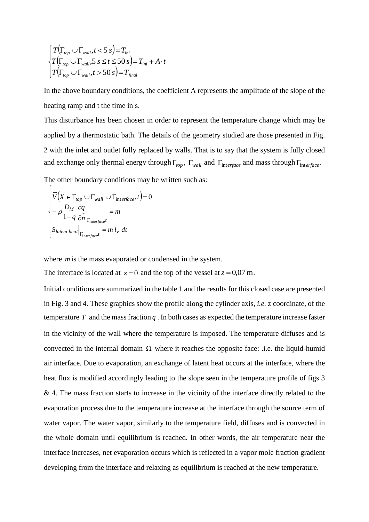$$
\begin{cases}\nT(\Gamma_{top} \cup \Gamma_{wall}, t < 5 \text{ s}) = T_{ini} \\
T(\Gamma_{top} \cup \Gamma_{wall}, 5 \text{ s} \le t \le 50 \text{ s}) = T_{ini} + A \cdot t \\
T(\Gamma_{top} \cup \Gamma_{wall}, t > 50 \text{ s}) = T_{final}\n\end{cases}
$$

In the above boundary conditions, the coefficient A represents the amplitude of the slope of the heating ramp and t the time in s.

This disturbance has been chosen in order to represent the temperature change which may be applied by a thermostatic bath. The details of the geometry studied are those presented in Fig. 2 with the inlet and outlet fully replaced by walls. That is to say that the system is fully closed and exchange only thermal energy through  $\Gamma_{top}$ ,  $\Gamma_{wall}$  and  $\Gamma_{interface}$  and mass through  $\Gamma_{interface}$ .

The other boundary conditions may be written such as:

$$
\begin{cases}\n\vec{V}\left(X \in \Gamma_{top} \cup \Gamma_{wall} \cup \Gamma_{interface}, t\right) = 0 \\
-\rho \frac{D_M}{1 - q} \frac{\partial q}{\partial n}\Big|_{\Gamma_{interface}t} = m \\
S_{latent\, heat}\Big|_{\Gamma_{interface}t} = m l_v \, dt\n\end{cases}
$$

where *m* is the mass evaporated or condensed in the system.

The interface is located at  $z = 0$  and the top of the vessel at  $z = 0.07$  m.

Initial conditions are summarized in the table 1 and the results for this closed case are presented in Fig. 3 and 4. These graphics show the profile along the cylinder axis, *i.e.* z coordinate, of the temperature  $T$  and the mass fraction  $q$ . In both cases as expected the temperature increase faster in the vicinity of the wall where the temperature is imposed. The temperature diffuses and is convected in the internal domain  $\Omega$  where it reaches the opposite face: .i.e. the liquid-humid air interface. Due to evaporation, an exchange of latent heat occurs at the interface, where the heat flux is modified accordingly leading to the slope seen in the temperature profile of figs 3 & 4. The mass fraction starts to increase in the vicinity of the interface directly related to the evaporation process due to the temperature increase at the interface through the source term of water vapor. The water vapor, similarly to the temperature field, diffuses and is convected in the whole domain until equilibrium is reached. In other words, the air temperature near the interface increases, net evaporation occurs which is reflected in a vapor mole fraction gradient developing from the interface and relaxing as equilibrium is reached at the new temperature.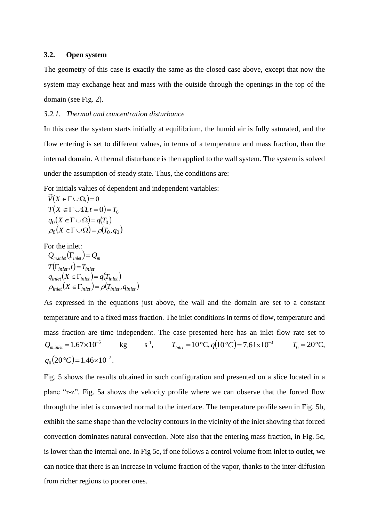#### **3.2. Open system**

The geometry of this case is exactly the same as the closed case above, except that now the system may exchange heat and mass with the outside through the openings in the top of the domain (see Fig. 2).

## *3.2.1. Thermal and concentration disturbance*

In this case the system starts initially at equilibrium, the humid air is fully saturated, and the flow entering is set to different values, in terms of a temperature and mass fraction, than the internal domain. A thermal disturbance is then applied to the wall system. The system is solved under the assumption of steady state. Thus, the conditions are:

For initials values of dependent and independent variables:

$$
\overrightarrow{V}(X \in \Gamma \cup \Omega) = 0
$$
\n
$$
T(X \in \Gamma \cup \Omega, t = 0) = T_0
$$
\n
$$
q_0(X \in \Gamma \cup \Omega) = q(T_0)
$$
\n
$$
\rho_0(X \in \Gamma \cup \Omega) = \rho(T_0, q_0)
$$

For the inlet:

 $Q_{m,inlet}(\Gamma_{inlet}) = Q_m$  $T(\Gamma_{\text{inlet}}, t) = T_{\text{inlet}}$  $q_{\text{inlet}}(X \in \Gamma_{\text{inlet}}) = q(T_{\text{inlet}})$  $\rho_{inlet}(X \in \Gamma_{inlet}) = \rho(T_{inlet}, q_{inlet})$ 

As expressed in the equations just above, the wall and the domain are set to a constant temperature and to a fixed mass fraction. The inlet conditions in terms of flow, temperature and mass fraction are time independent. The case presented here has an inlet flow rate set to 5  $Q_{m, inlet} = 1.67 \times 10^{-7}$ kg  $s^{-1}$ ,  $T_{\text{inlet}} = 10 \, \text{°C}, q(10 \, \text{°C}) = 7.61 \times 10^{-3}$   $T_0 = 20 \, \text{°C},$  $q_0(20\degree C) = 1.46 \times 10^{-2}$ .

Fig. 5 shows the results obtained in such configuration and presented on a slice located in a plane "r-z". Fig. 5a shows the velocity profile where we can observe that the forced flow through the inlet is convected normal to the interface. The temperature profile seen in Fig. 5b, exhibit the same shape than the velocity contours in the vicinity of the inlet showing that forced convection dominates natural convection. Note also that the entering mass fraction, in Fig. 5c, is lower than the internal one. In Fig 5c, if one follows a control volume from inlet to outlet, we can notice that there is an increase in volume fraction of the vapor, thanks to the inter-diffusion from richer regions to poorer ones.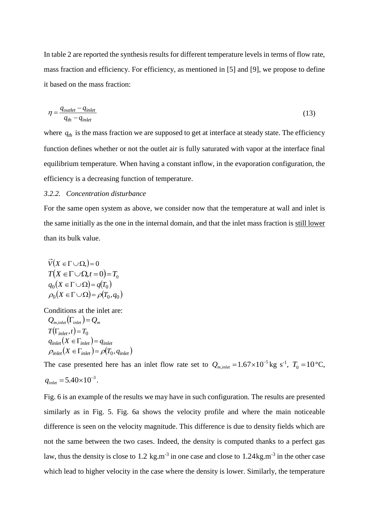In table 2 are reported the synthesis results for different temperature levels in terms of flow rate, mass fraction and efficiency. For efficiency, as mentioned in [5] and [9], we propose to define it based on the mass fraction:

$$
\eta = \frac{q_{\text{outlet}} - q_{\text{inlet}}}{q_{\text{th}} - q_{\text{inlet}}} \tag{13}
$$

where  $q_{th}$  is the mass fraction we are supposed to get at interface at steady state. The efficiency function defines whether or not the outlet air is fully saturated with vapor at the interface final equilibrium temperature. When having a constant inflow, in the evaporation configuration, the efficiency is a decreasing function of temperature.

# *3.2.2. Concentration disturbance*

For the same open system as above, we consider now that the temperature at wall and inlet is the same initially as the one in the internal domain, and that the inlet mass fraction is still lower than its bulk value.

$$
\overrightarrow{V}(X \in \Gamma \cup \Omega) = 0
$$
\n
$$
T(X \in \Gamma \cup \Omega, t = 0) = T_0
$$
\n
$$
q_0(X \in \Gamma \cup \Omega) = q(T_0)
$$
\n
$$
\rho_0(X \in \Gamma \cup \Omega) = \rho(T_0, q_0)
$$

Conditions at the inlet are:  $Q_{m,inlet}(\Gamma_{inlet}) = Q_m$  $T(\Gamma_{\text{inlet}}, t) = T_0$  $q_{\text{inlet}}(X \in \Gamma_{\text{inlet}}) = q_{\text{inlet}}$  $\rho_{\text{inlet}}(X \in \Gamma_{\text{inlet}}) = \rho(T_0, q_{\text{inlet}})$ 

The case presented here has an inlet flow rate set to  $Q_{m,inlet} = 1.67 \times 10^{-5}$  $Q_{m, inlet} = 1.67 \times 10^{-5}$  kg s<sup>-1</sup>,  $T_0 = 10$  °C,  $q_{\text{inlet}} = 5.40 \times 10^{-3}$ .

Fig. 6 is an example of the results we may have in such configuration. The results are presented similarly as in Fig. 5. Fig. 6a shows the velocity profile and where the main noticeable difference is seen on the velocity magnitude. This difference is due to density fields which are not the same between the two cases. Indeed, the density is computed thanks to a perfect gas law, thus the density is close to 1.2 kg.m<sup>-3</sup> in one case and close to 1.24kg.m<sup>-3</sup> in the other case which lead to higher velocity in the case where the density is lower. Similarly, the temperature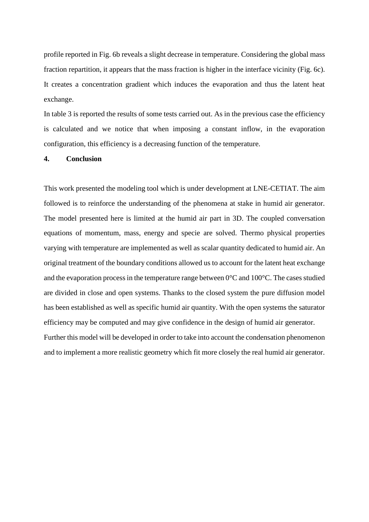profile reported in Fig. 6b reveals a slight decrease in temperature. Considering the global mass fraction repartition, it appears that the mass fraction is higher in the interface vicinity (Fig. 6c). It creates a concentration gradient which induces the evaporation and thus the latent heat exchange.

In table 3 is reported the results of some tests carried out. As in the previous case the efficiency is calculated and we notice that when imposing a constant inflow, in the evaporation configuration, this efficiency is a decreasing function of the temperature.

#### **4. Conclusion**

This work presented the modeling tool which is under development at LNE-CETIAT. The aim followed is to reinforce the understanding of the phenomena at stake in humid air generator. The model presented here is limited at the humid air part in 3D. The coupled conversation equations of momentum, mass, energy and specie are solved. Thermo physical properties varying with temperature are implemented as well as scalar quantity dedicated to humid air. An original treatment of the boundary conditions allowed us to account for the latent heat exchange and the evaporation process in the temperature range between 0°C and 100°C. The cases studied are divided in close and open systems. Thanks to the closed system the pure diffusion model has been established as well as specific humid air quantity. With the open systems the saturator efficiency may be computed and may give confidence in the design of humid air generator. Further this model will be developed in order to take into account the condensation phenomenon and to implement a more realistic geometry which fit more closely the real humid air generator.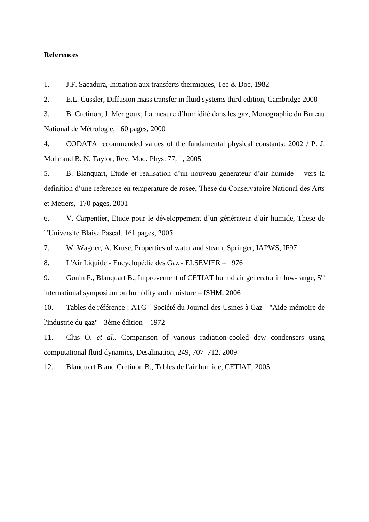# **References**

1. J.F. Sacadura, Initiation aux transferts thermiques, Tec & Doc, 1982

2. E.L. Cussler, Diffusion mass transfer in fluid systems third edition, Cambridge 2008

3. B. Cretinon, J. Merigoux, La mesure d'humidité dans les gaz, Monographie du Bureau National de Métrologie, 160 pages, 2000

4. CODATA recommended values of the fundamental physical constants: 2002 / P. J. Mohr and B. N. Taylor, Rev. Mod. Phys. 77, 1, 2005

5. B. Blanquart, Etude et realisation d'un nouveau generateur d'air humide – vers la definition d'une reference en temperature de rosee, These du Conservatoire National des Arts et Metiers, 170 pages, 2001

6. V. Carpentier, Etude pour le développement d'un générateur d'air humide, These de l'Université Blaise Pascal, 161 pages, 2005

7. W. Wagner, A. Kruse, Properties of water and steam, Springer, IAPWS, IF97

8. L'Air Liquide - Encyclopédie des Gaz - ELSEVIER – 1976

9. Gonin F., Blanquart B., Improvement of CETIAT humid air generator in low-range,  $5<sup>th</sup>$ international symposium on humidity and moisture – ISHM, 2006

10. Tables de référence : ATG - Société du Journal des Usines à Gaz - "Aide-mémoire de l'industrie du gaz" - 3ème édition – 1972

11. Clus O. *et al.*, Comparison of various radiation-cooled dew condensers using computational fluid dynamics, Desalination, 249, 707–712, 2009

12. Blanquart B and Cretinon B., Tables de l'air humide, CETIAT, 2005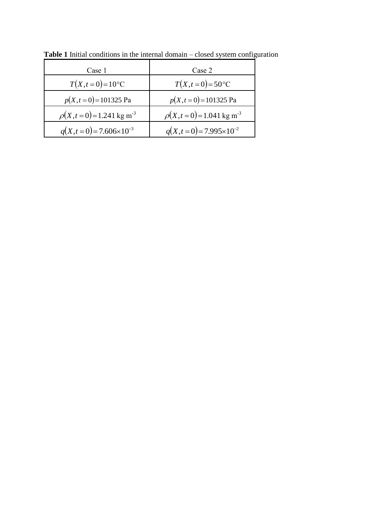| Case 1                                  | Case 2                                   |
|-----------------------------------------|------------------------------------------|
| $T(X,t=0)=10^{\circ}C$                  | $T(X,t=0) = 50^{\circ}C$                 |
| $p(X,t=0) = 101325$ Pa                  | $p(X,t=0) = 101325$ Pa                   |
| $\rho(X,t=0) = 1.241 \text{ kg m}^{-3}$ | $\rho(X,t=0) = 1.041$ kg m <sup>-3</sup> |
| $q(X,t=0) = 7.606 \times 10^{-3}$       | $q(X,t=0) = 7.995 \times 10^{-2}$        |

**Table 1** Initial conditions in the internal domain – closed system configuration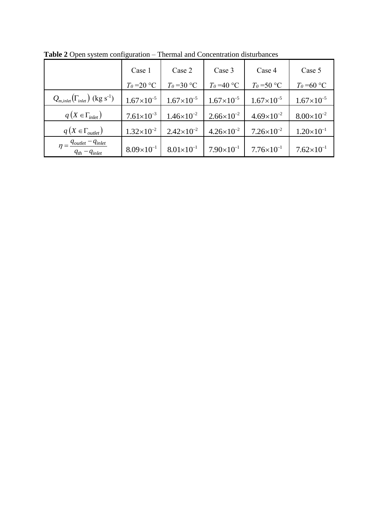|                                                                          | Case 1              | Case 2              | Case 3              | Case 4                | Case 5              |
|--------------------------------------------------------------------------|---------------------|---------------------|---------------------|-----------------------|---------------------|
|                                                                          | $T_0 = 20$ °C       | $T_{0}$ =30 °C      | $T_0$ =40 °C        | $T_0$ =50 °C          | $T_{0}$ =60 °C      |
| $Q_{m,inlet}(\Gamma_{inlet})$ (kg s <sup>-1</sup> )                      | $1.67\times10^{-5}$ | $1.67\times10^{-5}$ | $1.67\times10^{-5}$ | $1.67\times10^{-5}$   | $1.67\times10^{-5}$ |
| $q(X \in \Gamma_{\text{inlet}})$                                         | $7.61\times10^{-3}$ | $1.46\times10^{-2}$ | $2.66\times10^{-2}$ | $4.69\times10^{-2}$   | $8.00\times10^{-2}$ |
| $q(X \in \Gamma_{outlet})$                                               | $1.32\times10^{-2}$ | $2.42\times10^{-2}$ | $4.26\times10^{-2}$ | $7.26\times10^{-2}$   | $1.20\times10^{-1}$ |
| $\eta = \frac{q_{outlet} - q_{inlet}}{q_{outlet}}$<br>$q_{th}-q_{inlet}$ | $8.09\times10^{-1}$ | $8.01\times10^{-1}$ | $7.90\times10^{-1}$ | $7.76 \times 10^{-1}$ | $7.62\times10^{-1}$ |

**Table 2** Open system configuration – Thermal and Concentration disturbances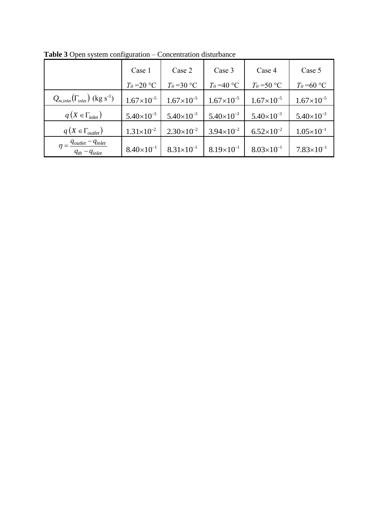|                                                            | Case 1              | Case 2              | Case 3              | Case 4              | Case 5              |
|------------------------------------------------------------|---------------------|---------------------|---------------------|---------------------|---------------------|
|                                                            | $T_{0}$ =20 °C      | $T_{0}$ =30 °C      | $T_0$ =40 °C        | $T_0$ =50 °C        | $T_{0}$ =60 °C      |
| $Q_{m,inlet}(\Gamma_{inlet})$ (kg s <sup>-1</sup> )        | $1.67\times10^{-5}$ | $1.67\times10^{-5}$ | $1.67\times10^{-5}$ | $1.67\times10^{-5}$ | $1.67\times10^{-5}$ |
| $q(X \in \Gamma_{inlet})$                                  | $5.40\times10^{-3}$ | $5.40\times10^{-3}$ | $5.40\times10^{-3}$ | $5.40\times10^{-3}$ | $5.40\times10^{-3}$ |
| $q(X \in \Gamma_{outlet})$                                 | $1.31\times10^{-2}$ | $2.30\times10^{-2}$ | $3.94\times10^{-2}$ | $6.52\times10^{-2}$ | $1.05\times10^{-1}$ |
| $\eta = \frac{q_{outlet} - q_{inlet}}{q_{th} - q_{inlet}}$ | $8.40\times10^{-1}$ | $8.31\times10^{-1}$ | $8.19\times10^{-1}$ | $8.03\times10^{-1}$ | $7.83\times10^{-1}$ |

**Table 3** Open system configuration – Concentration disturbance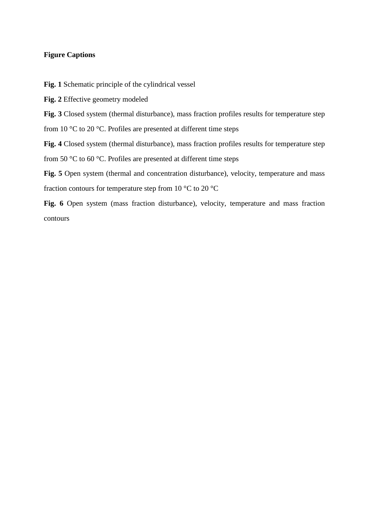# **Figure Captions**

<span id="page-14-0"></span>**Fig. 1** Schematic principle of the cylindrical vessel

<span id="page-14-1"></span>**Fig. 2** Effective geometry modeled

<span id="page-14-2"></span>**Fig. 3** Closed system (thermal disturbance), mass fraction profiles results for temperature step from 10 °C to 20 °C. Profiles are presented at different time steps

<span id="page-14-3"></span>**Fig. 4** Closed system (thermal disturbance), mass fraction profiles results for temperature step from 50 °C to 60 °C. Profiles are presented at different time steps

<span id="page-14-4"></span>Fig. 5 Open system (thermal and concentration disturbance), velocity, temperature and mass fraction contours for temperature step from 10 °C to 20 °C

<span id="page-14-5"></span>**Fig. 6** Open system (mass fraction disturbance), velocity, temperature and mass fraction contours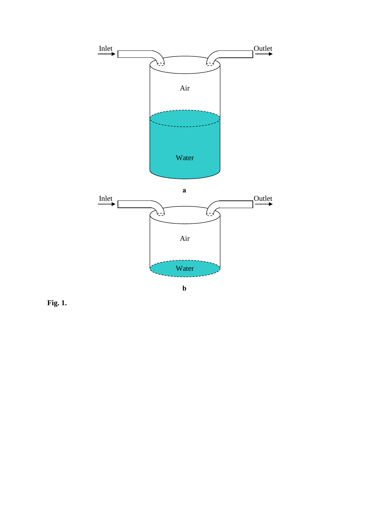

**[Fig. 1](#page-14-0).**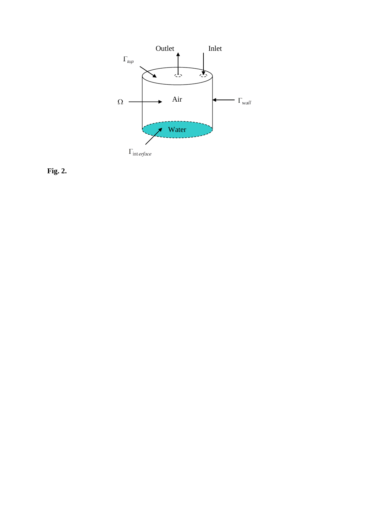

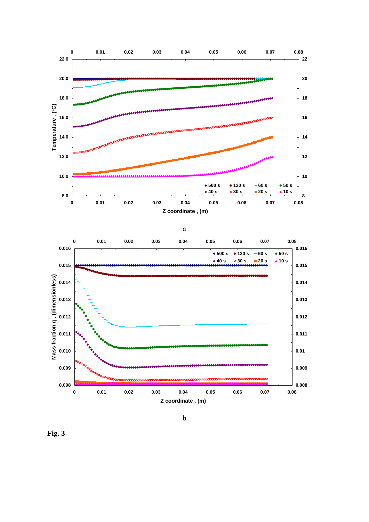

**[Fig. 3](#page-14-2)**

b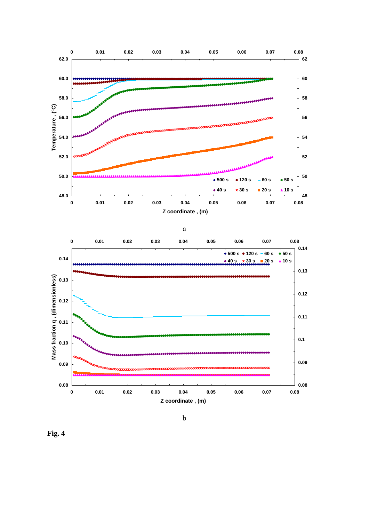

**[Fig. 4](#page-14-3)**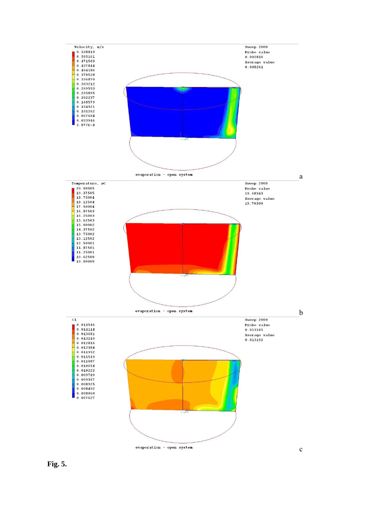

**[Fig. 5](#page-14-4).**

c